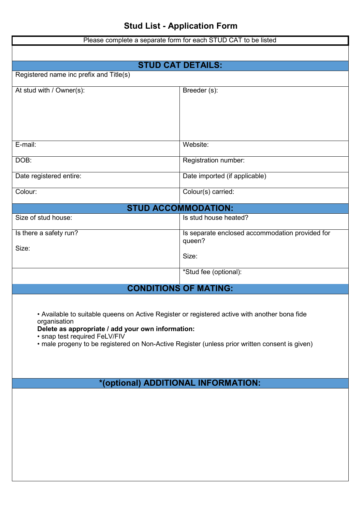| Please complete a separate form for each STUD CAT to be listed                                 |                                                 |  |
|------------------------------------------------------------------------------------------------|-------------------------------------------------|--|
|                                                                                                |                                                 |  |
|                                                                                                | <b>STUD CAT DETAILS:</b>                        |  |
| Registered name inc prefix and Title(s)                                                        |                                                 |  |
| At stud with / Owner(s):                                                                       | Breeder (s):                                    |  |
|                                                                                                |                                                 |  |
|                                                                                                |                                                 |  |
|                                                                                                |                                                 |  |
| E-mail:                                                                                        | Website:                                        |  |
|                                                                                                |                                                 |  |
| DOB:                                                                                           | Registration number:                            |  |
| Date registered entire:                                                                        | Date imported (if applicable)                   |  |
| Colour:                                                                                        | Colour(s) carried:                              |  |
| <b>STUD ACCOMMODATION:</b>                                                                     |                                                 |  |
| Size of stud house:                                                                            | Is stud house heated?                           |  |
| Is there a safety run?                                                                         | Is separate enclosed accommodation provided for |  |
| Size:                                                                                          | queen?                                          |  |
|                                                                                                | Size:                                           |  |
|                                                                                                | *Stud fee (optional):                           |  |
| <b>CONDITIONS OF MATING:</b>                                                                   |                                                 |  |
|                                                                                                |                                                 |  |
| • Available to suitable queens on Active Register or registered active with another bona fide  |                                                 |  |
| organisation<br>Delete as appropriate / add your own information:                              |                                                 |  |
| • snap test required FeLV/FIV                                                                  |                                                 |  |
| • male progeny to be registered on Non-Active Register (unless prior written consent is given) |                                                 |  |
|                                                                                                |                                                 |  |
|                                                                                                |                                                 |  |
| *(optional) ADDITIONAL INFORMATION:                                                            |                                                 |  |
|                                                                                                |                                                 |  |
|                                                                                                |                                                 |  |
|                                                                                                |                                                 |  |
|                                                                                                |                                                 |  |
|                                                                                                |                                                 |  |
|                                                                                                |                                                 |  |
|                                                                                                |                                                 |  |
|                                                                                                |                                                 |  |